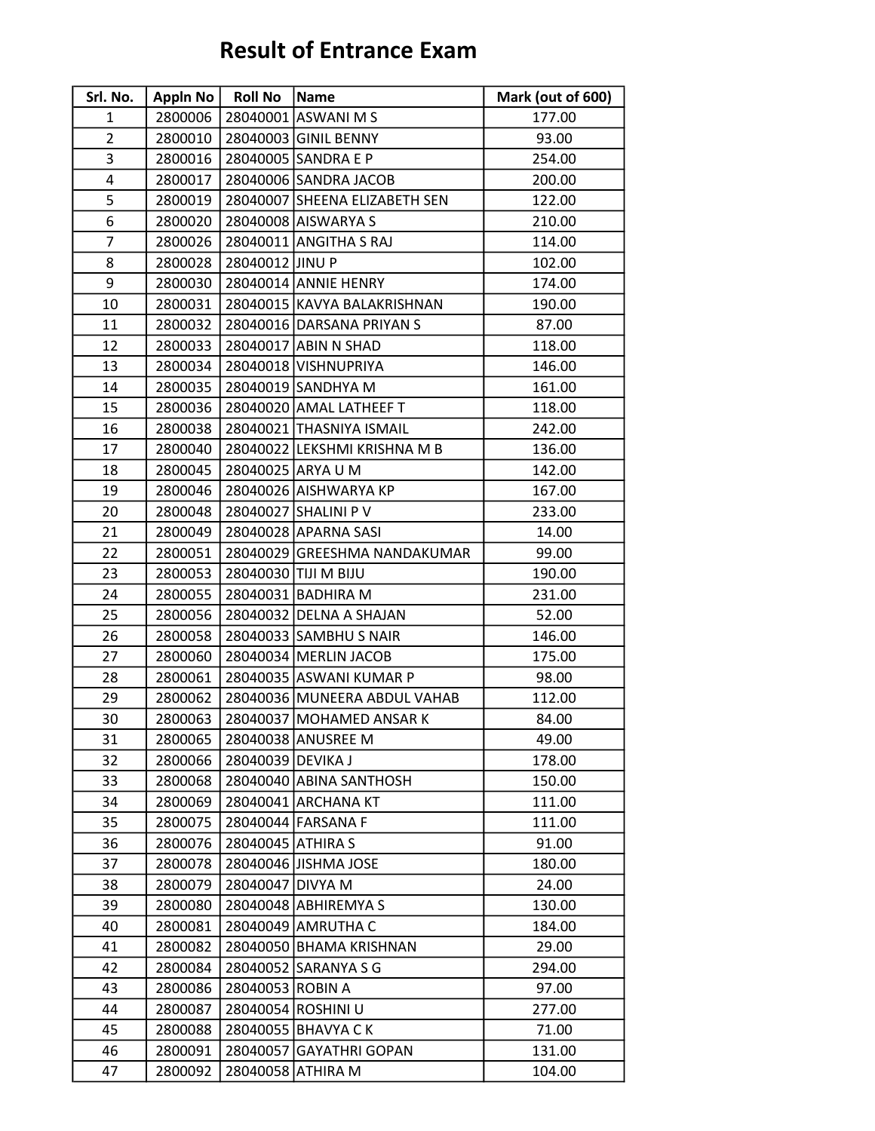## Result of Entrance Exam

| Srl. No.       | Appln No | <b>Roll No</b>    | Name                          | Mark (out of 600) |
|----------------|----------|-------------------|-------------------------------|-------------------|
| 1              | 2800006  |                   | 28040001 ASWANI M S           | 177.00            |
| $\overline{2}$ | 2800010  |                   | 28040003 GINIL BENNY          | 93.00             |
| 3              | 2800016  |                   | 28040005 SANDRA E P           | 254.00            |
| 4              | 2800017  |                   | 28040006 SANDRA JACOB         | 200.00            |
| 5              | 2800019  |                   | 28040007 SHEENA ELIZABETH SEN | 122.00            |
| 6              | 2800020  |                   | 28040008 AISWARYA S           | 210.00            |
| $\overline{7}$ | 2800026  |                   | 28040011 ANGITHA S RAJ        | 114.00            |
| 8              | 2800028  | 28040012 JINU P   |                               | 102.00            |
| 9              | 2800030  |                   | 28040014 ANNIE HENRY          | 174.00            |
| 10             | 2800031  |                   | 28040015 KAVYA BALAKRISHNAN   | 190.00            |
| 11             | 2800032  |                   | 28040016 DARSANA PRIYAN S     | 87.00             |
| 12             | 2800033  |                   | 28040017 ABIN N SHAD          | 118.00            |
| 13             | 2800034  |                   | 28040018 VISHNUPRIYA          | 146.00            |
| 14             | 2800035  |                   | 28040019 SANDHYA M            | 161.00            |
| 15             | 2800036  |                   | 28040020 AMAL LATHEEF T       | 118.00            |
| 16             | 2800038  |                   | 28040021 THASNIYA ISMAIL      | 242.00            |
| 17             | 2800040  |                   | 28040022 LEKSHMI KRISHNA M B  | 136.00            |
| 18             | 2800045  |                   | 28040025 ARYA U M             | 142.00            |
| 19             | 2800046  |                   | 28040026 AISHWARYA KP         | 167.00            |
| 20             | 2800048  |                   | 28040027 SHALINI P V          | 233.00            |
| 21             | 2800049  |                   | 28040028 APARNA SASI          | 14.00             |
| 22             | 2800051  |                   | 28040029 GREESHMA NANDAKUMAR  | 99.00             |
| 23             | 2800053  |                   | 28040030 TIJI M BIJU          | 190.00            |
| 24             | 2800055  |                   | 28040031 BADHIRA M            | 231.00            |
| 25             | 2800056  |                   | 28040032 DELNA A SHAJAN       | 52.00             |
| 26             | 2800058  |                   | 28040033 SAMBHU S NAIR        | 146.00            |
| 27             | 2800060  |                   | 28040034 MERLIN JACOB         | 175.00            |
| 28             | 2800061  |                   | 28040035 ASWANI KUMAR P       | 98.00             |
| 29             | 2800062  |                   | 28040036 MUNEERA ABDUL VAHAB  | 112.00            |
| 30             | 2800063  |                   | 28040037 MOHAMED ANSAR K      | 84.00             |
| 31             | 2800065  |                   | 28040038 ANUSREE M            | 49.00             |
| 32             | 2800066  | 28040039 DEVIKA J |                               | 178.00            |
| 33             | 2800068  |                   | 28040040 ABINA SANTHOSH       | 150.00            |
| 34             | 2800069  |                   | 28040041 ARCHANA KT           | 111.00            |
| 35             | 2800075  |                   | 28040044 FARSANA F            | 111.00            |
| 36             | 2800076  | 28040045 ATHIRA S |                               | 91.00             |
| 37             | 2800078  |                   | 28040046 JISHMA JOSE          | 180.00            |
| 38             | 2800079  | 28040047 DIVYA M  |                               | 24.00             |
| 39             | 2800080  |                   | 28040048 ABHIREMYA S          | 130.00            |
| 40             | 2800081  |                   | 28040049 AMRUTHA C            | 184.00            |
| 41             | 2800082  |                   | 28040050 BHAMA KRISHNAN       | 29.00             |
| 42             | 2800084  |                   | 28040052 SARANYA S G          | 294.00            |
| 43             | 2800086  | 28040053 ROBIN A  |                               | 97.00             |
| 44             | 2800087  |                   | 28040054 ROSHINI U            | 277.00            |
| 45             | 2800088  |                   | 28040055 BHAVYA C K           | 71.00             |
| 46             | 2800091  |                   | 28040057 GAYATHRI GOPAN       | 131.00            |
| 47             | 2800092  |                   | 28040058 ATHIRA M             | 104.00            |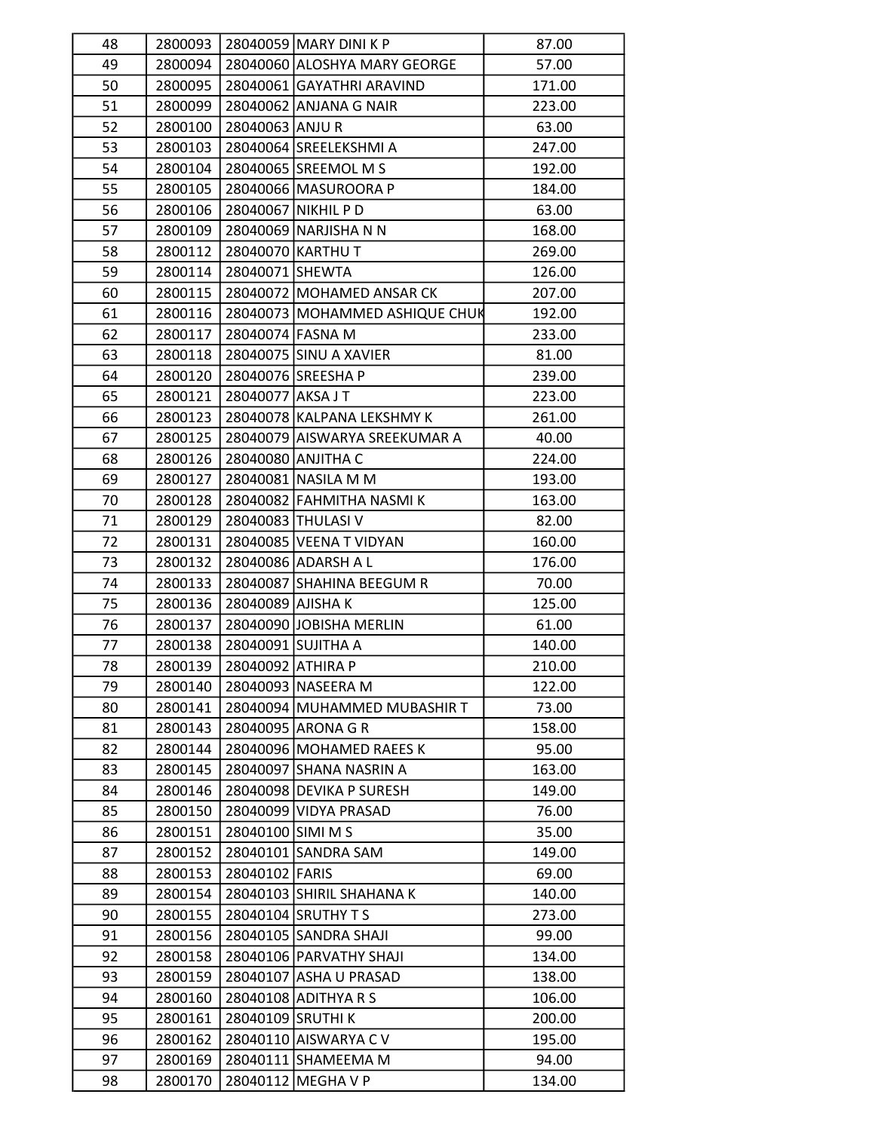| 48 | 2800093            |                   | 28040059 MARY DINI K P         | 87.00           |
|----|--------------------|-------------------|--------------------------------|-----------------|
| 49 | 2800094            |                   | 28040060 ALOSHYA MARY GEORGE   | 57.00           |
| 50 | 2800095            |                   | 28040061 GAYATHRI ARAVIND      | 171.00          |
| 51 | 2800099            |                   | 28040062 ANJANA G NAIR         | 223.00          |
| 52 | 2800100            | 28040063 ANJU R   |                                | 63.00           |
| 53 | 2800103            |                   | 28040064 SREELEKSHMI A         | 247.00          |
| 54 | 2800104            |                   | 28040065 SREEMOL M S           | 192.00          |
| 55 | 2800105            |                   | 28040066 MASUROORA P           | 184.00          |
| 56 | 2800106            |                   | 28040067 NIKHIL P D            | 63.00           |
| 57 | 2800109            |                   | 28040069 NARJISHA N N          | 168.00          |
| 58 | 2800112            |                   | 28040070 KARTHU T              | 269.00          |
| 59 | 2800114            | 28040071 SHEWTA   |                                | 126.00          |
| 60 | 2800115            |                   | 28040072 MOHAMED ANSAR CK      | 207.00          |
| 61 | 2800116            |                   | 28040073 MOHAMMED ASHIQUE CHUK | 192.00          |
| 62 | 2800117            | 28040074 FASNA M  |                                | 233.00          |
| 63 | 2800118            |                   | 28040075 SINU A XAVIER         | 81.00           |
| 64 | 2800120            |                   | 28040076 SREESHA P             | 239.00          |
| 65 | 2800121            | 28040077 AKSA J T |                                | 223.00          |
| 66 | 2800123            |                   | 28040078 KALPANA LEKSHMY K     | 261.00          |
| 67 | 2800125            |                   | 28040079 AISWARYA SREEKUMAR A  | 40.00           |
| 68 | 2800126            |                   | 28040080 ANJITHA C             | 224.00          |
| 69 | 2800127            |                   | 28040081 NASILA M M            | 193.00          |
| 70 | 2800128            |                   | 28040082 FAHMITHA NASMI K      | 163.00          |
| 71 | 2800129            |                   | 28040083 THULASI V             | 82.00           |
| 72 | 2800131            |                   | 28040085 VEENA T VIDYAN        | 160.00          |
| 73 | 2800132            |                   | 28040086 ADARSH A L            | 176.00          |
| 74 | 2800133            |                   | 28040087 SHAHINA BEEGUM R      | 70.00           |
| 75 |                    | 28040089 AJISHA K |                                |                 |
| 76 | 2800136<br>2800137 |                   | 28040090 JOBISHA MERLIN        | 125.00<br>61.00 |
| 77 | 2800138            |                   | 28040091 SUJITHA A             | 140.00          |
| 78 | 2800139            |                   |                                |                 |
|    | 2800140            | 28040092 ATHIRA P |                                | 210.00          |
| 79 |                    |                   | 28040093 NASEERA M             | 122.00          |
| 80 | 2800141            |                   | 28040094 MUHAMMED MUBASHIR T   | 73.00           |
| 81 | 2800143            |                   | 28040095 ARONA G R             | 158.00          |
| 82 | 2800144            |                   | 28040096 MOHAMED RAEES K       | 95.00           |
| 83 | 2800145            |                   | 28040097 SHANA NASRIN A        | 163.00          |
| 84 | 2800146            |                   | 28040098 DEVIKA P SURESH       | 149.00          |
| 85 | 2800150            |                   | 28040099 VIDYA PRASAD          | 76.00           |
| 86 | 2800151            | 28040100 SIMI M S |                                | 35.00           |
| 87 | 2800152            |                   | 28040101 SANDRA SAM            | 149.00          |
| 88 | 2800153            | 28040102 FARIS    |                                | 69.00           |
| 89 | 2800154            |                   | 28040103 SHIRIL SHAHANA K      | 140.00          |
| 90 | 2800155            |                   | 28040104 SRUTHY T S            | 273.00          |
| 91 | 2800156            |                   | 28040105 SANDRA SHAJI          | 99.00           |
| 92 | 2800158            |                   | 28040106 PARVATHY SHAJI        | 134.00          |
| 93 | 2800159            |                   | 28040107 ASHA U PRASAD         | 138.00          |
| 94 | 2800160            |                   | 28040108 ADITHYA R S           | 106.00          |
| 95 | 2800161            | 28040109 SRUTHI K |                                | 200.00          |
| 96 | 2800162            |                   | 28040110 AISWARYA C V          | 195.00          |
| 97 | 2800169            |                   | 28040111 SHAMEEMA M            | 94.00           |
| 98 | 2800170            |                   | 28040112 MEGHA V P             | 134.00          |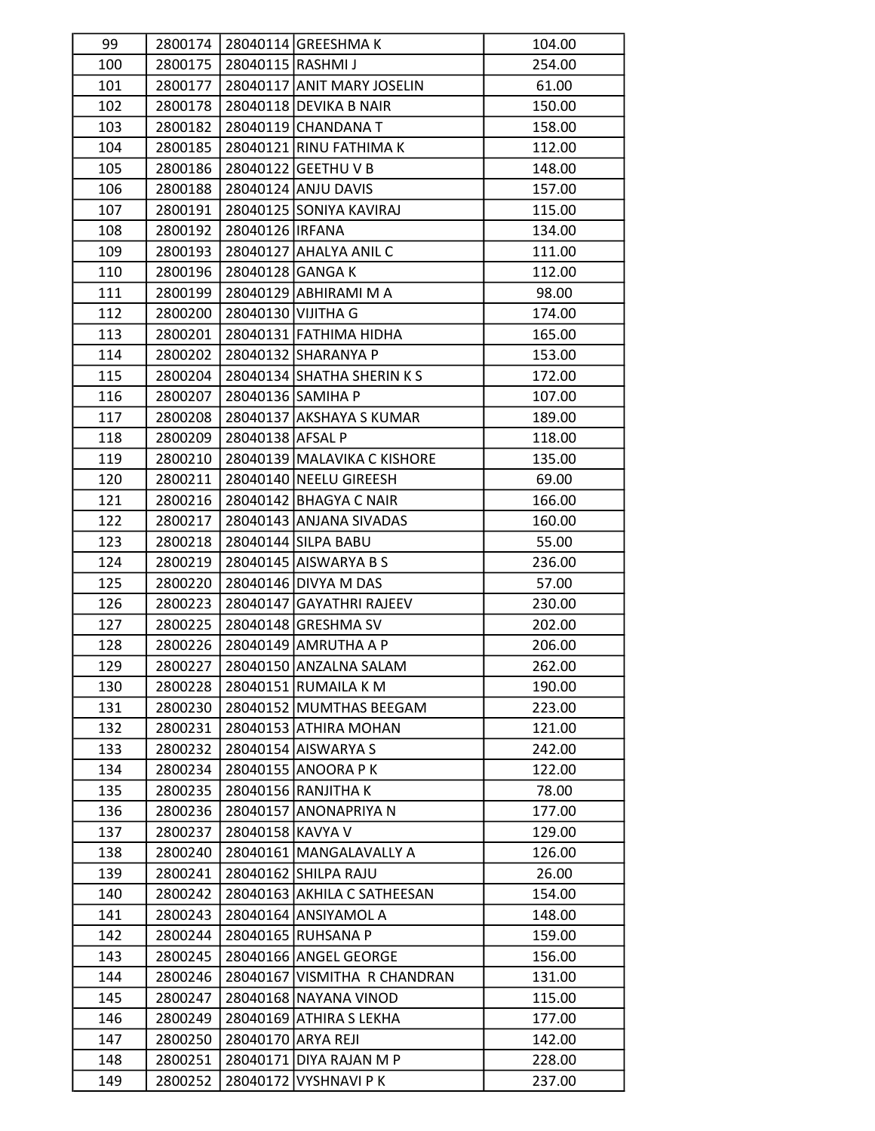| 99  |         |                    | 2800174 28040114 GREESHMA K  | 104.00 |
|-----|---------|--------------------|------------------------------|--------|
| 100 | 2800175 | 28040115 RASHMI J  |                              | 254.00 |
| 101 | 2800177 |                    | 28040117 ANIT MARY JOSELIN   | 61.00  |
| 102 | 2800178 |                    | 28040118 DEVIKA B NAIR       | 150.00 |
| 103 | 2800182 |                    | 28040119 CHANDANA T          | 158.00 |
| 104 | 2800185 |                    | 28040121 RINU FATHIMA K      | 112.00 |
| 105 | 2800186 |                    | 28040122 GEETHU V B          | 148.00 |
| 106 | 2800188 |                    | 28040124 ANJU DAVIS          | 157.00 |
| 107 | 2800191 |                    | 28040125 SONIYA KAVIRAJ      | 115.00 |
| 108 | 2800192 | 28040126 IRFANA    |                              | 134.00 |
| 109 | 2800193 |                    | 28040127 AHALYA ANIL C       | 111.00 |
| 110 | 2800196 | 28040128 GANGA K   |                              | 112.00 |
| 111 | 2800199 |                    | 28040129 ABHIRAMI M A        | 98.00  |
| 112 | 2800200 | 28040130 VIJITHA G |                              | 174.00 |
| 113 | 2800201 |                    | 28040131 FATHIMA HIDHA       | 165.00 |
| 114 | 2800202 |                    | 28040132 SHARANYA P          | 153.00 |
| 115 | 2800204 |                    | 28040134 SHATHA SHERIN KS    | 172.00 |
| 116 | 2800207 |                    | 28040136 SAMIHA P            | 107.00 |
| 117 | 2800208 |                    | 28040137 AKSHAYA S KUMAR     | 189.00 |
| 118 | 2800209 | 28040138 AFSAL P   |                              | 118.00 |
| 119 | 2800210 |                    | 28040139 MALAVIKA C KISHORE  | 135.00 |
| 120 | 2800211 |                    | 28040140 NEELU GIREESH       | 69.00  |
| 121 | 2800216 |                    | 28040142 BHAGYA C NAIR       | 166.00 |
| 122 | 2800217 |                    | 28040143 ANJANA SIVADAS      | 160.00 |
| 123 | 2800218 |                    | 28040144 SILPA BABU          | 55.00  |
| 124 | 2800219 |                    | 28040145 AISWARYA B S        | 236.00 |
| 125 | 2800220 |                    | 28040146 DIVYA M DAS         | 57.00  |
| 126 | 2800223 |                    | 28040147 GAYATHRI RAJEEV     | 230.00 |
| 127 | 2800225 |                    | 28040148 GRESHMA SV          | 202.00 |
| 128 | 2800226 |                    | 28040149 AMRUTHA A P         | 206.00 |
| 129 | 2800227 |                    | 28040150 ANZALNA SALAM       | 262.00 |
| 130 | 2800228 |                    | 28040151 RUMAILA K M         | 190.00 |
| 131 | 2800230 |                    | 28040152 MUMTHAS BEEGAM      | 223.00 |
| 132 | 2800231 |                    | 28040153 ATHIRA MOHAN        | 121.00 |
| 133 | 2800232 |                    | 28040154 AISWARYA S          | 242.00 |
| 134 | 2800234 |                    | 28040155 ANOORA P K          | 122.00 |
| 135 | 2800235 |                    | 28040156 RANJITHA K          | 78.00  |
| 136 | 2800236 |                    | 28040157 ANONAPRIYA N        | 177.00 |
| 137 | 2800237 | 28040158 KAVYA V   |                              | 129.00 |
| 138 | 2800240 |                    | 28040161 MANGALAVALLY A      | 126.00 |
| 139 | 2800241 |                    | 28040162 SHILPA RAJU         | 26.00  |
| 140 | 2800242 |                    | 28040163 AKHILA C SATHEESAN  | 154.00 |
| 141 | 2800243 |                    | 28040164 ANSIYAMOL A         | 148.00 |
| 142 | 2800244 |                    | 28040165 RUHSANA P           | 159.00 |
| 143 | 2800245 |                    | 28040166 ANGEL GEORGE        | 156.00 |
| 144 | 2800246 |                    | 28040167 VISMITHA R CHANDRAN | 131.00 |
| 145 | 2800247 |                    | 28040168 NAYANA VINOD        | 115.00 |
| 146 | 2800249 |                    | 28040169 ATHIRA S LEKHA      | 177.00 |
| 147 | 2800250 |                    | 28040170 ARYA REJI           | 142.00 |
| 148 | 2800251 |                    | 28040171 DIYA RAJAN M P      | 228.00 |
| 149 | 2800252 |                    | 28040172 VYSHNAVI PK         | 237.00 |